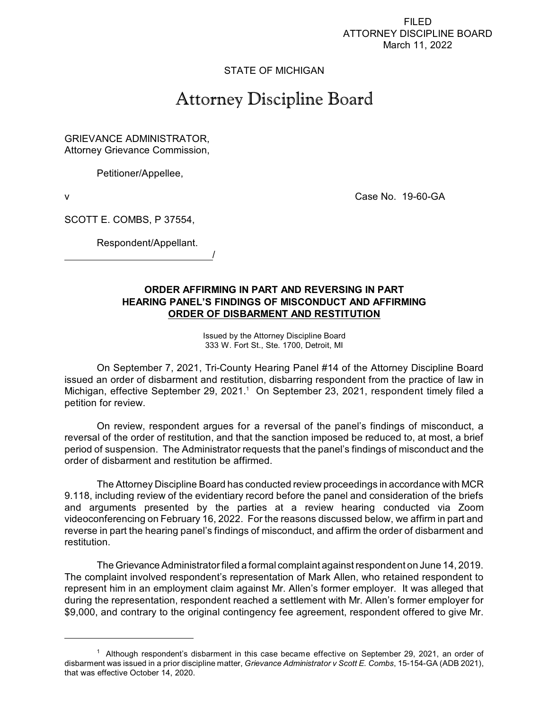FILED ATTORNEY DISCIPLINE BOARD March 11, 2022

## STATE OF MICHIGAN

## Attorney Discipline Board

GRIEVANCE ADMINISTRATOR, Attorney Grievance Commission,

Petitioner/Appellee,

v Case No. 19-60-GA

SCOTT E. COMBS, P 37554,

Respondent/Appellant.

/

## **ORDER AFFIRMING IN PART AND REVERSING IN PART HEARING PANEL'S FINDINGS OF MISCONDUCT AND AFFIRMING ORDER OF DISBARMENT AND RESTITUTION**

Issued by the Attorney Discipline Board 333 W. Fort St., Ste. 1700, Detroit, MI

On September 7, 2021, Tri-County Hearing Panel #14 of the Attorney Discipline Board issued an order of disbarment and restitution, disbarring respondent from the practice of law in Michigan, effective September 29, 2021.<sup>1</sup> On September 23, 2021, respondent timely filed a petition for review.

On review, respondent argues for a reversal of the panel's findings of misconduct, a reversal of the order of restitution, and that the sanction imposed be reduced to, at most, a brief period of suspension. The Administrator requests that the panel's findings of misconduct and the order of disbarment and restitution be affirmed.

The Attorney Discipline Board has conducted review proceedings in accordance with MCR 9.118, including review of the evidentiary record before the panel and consideration of the briefs and arguments presented by the parties at a review hearing conducted via Zoom videoconferencing on February 16, 2022. For the reasons discussed below, we affirm in part and reverse in part the hearing panel's findings of misconduct, and affirm the order of disbarment and restitution.

The Grievance Administrator filed a formal complaint against respondent on June 14, 2019. The complaint involved respondent's representation of Mark Allen, who retained respondent to represent him in an employment claim against Mr. Allen's former employer. It was alleged that during the representation, respondent reached a settlement with Mr. Allen's former employer for \$9,000, and contrary to the original contingency fee agreement, respondent offered to give Mr.

 $1$  Although respondent's disbarment in this case became effective on September 29, 2021, an order of disbarment was issued in a prior discipline matter, *Grievance Administrator v Scott E. Combs*, 15-154-GA (ADB 2021), that was effective October 14, 2020.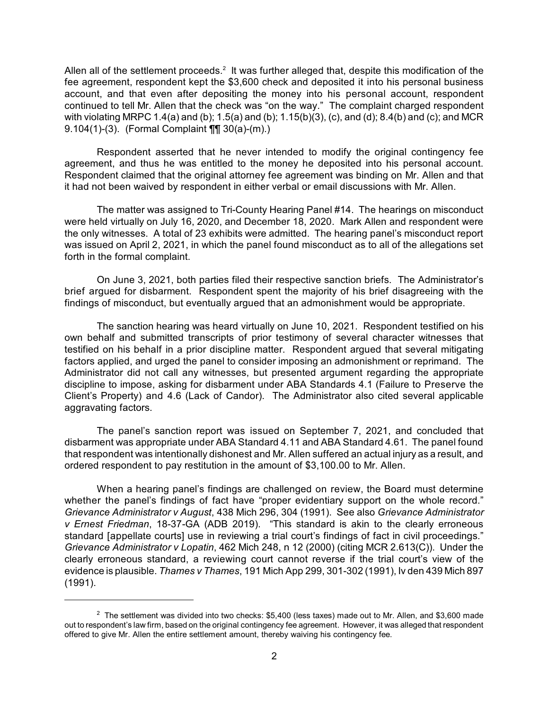Allen all of the settlement proceeds.<sup>2</sup> It was further alleged that, despite this modification of the fee agreement, respondent kept the \$3,600 check and deposited it into his personal business account, and that even after depositing the money into his personal account, respondent continued to tell Mr. Allen that the check was "on the way." The complaint charged respondent with violating MRPC 1.4(a) and (b); 1.5(a) and (b); 1.15(b)(3), (c), and (d); 8.4(b) and (c); and MCR 9.104(1)-(3). (Formal Complaint ¶¶ 30(a)-(m).)

Respondent asserted that he never intended to modify the original contingency fee agreement, and thus he was entitled to the money he deposited into his personal account. Respondent claimed that the original attorney fee agreement was binding on Mr. Allen and that it had not been waived by respondent in either verbal or email discussions with Mr. Allen.

The matter was assigned to Tri-County Hearing Panel #14. The hearings on misconduct were held virtually on July 16, 2020, and December 18, 2020. Mark Allen and respondent were the only witnesses. A total of 23 exhibits were admitted. The hearing panel's misconduct report was issued on April 2, 2021, in which the panel found misconduct as to all of the allegations set forth in the formal complaint.

On June 3, 2021, both parties filed their respective sanction briefs. The Administrator's brief argued for disbarment. Respondent spent the majority of his brief disagreeing with the findings of misconduct, but eventually argued that an admonishment would be appropriate.

The sanction hearing was heard virtually on June 10, 2021. Respondent testified on his own behalf and submitted transcripts of prior testimony of several character witnesses that testified on his behalf in a prior discipline matter. Respondent argued that several mitigating factors applied, and urged the panel to consider imposing an admonishment or reprimand. The Administrator did not call any witnesses, but presented argument regarding the appropriate discipline to impose, asking for disbarment under ABA Standards 4.1 (Failure to Preserve the Client's Property) and 4.6 (Lack of Candor). The Administrator also cited several applicable aggravating factors.

The panel's sanction report was issued on September 7, 2021, and concluded that disbarment was appropriate under ABA Standard 4.11 and ABA Standard 4.61. The panel found that respondent was intentionally dishonest and Mr. Allen suffered an actual injury as a result, and ordered respondent to pay restitution in the amount of \$3,100.00 to Mr. Allen.

When a hearing panel's findings are challenged on review, the Board must determine whether the panel's findings of fact have "proper evidentiary support on the whole record." *Grievance Administrator v August*, 438 Mich 296, 304 (1991). See also *Grievance Administrator v Ernest Friedman*, 18-37-GA (ADB 2019). "This standard is akin to the clearly erroneous standard [appellate courts] use in reviewing a trial court's findings of fact in civil proceedings." *Grievance Administrator v Lopatin*, 462 Mich 248, n 12 (2000) (citing MCR 2.613(C)). Under the clearly erroneous standard, a reviewing court cannot reverse if the trial court's view of the evidence is plausible. *Thames v Thames*, 191 Mich App 299, 301-302 (1991), Iv den 439 Mich 897 (1991).

 $2$  The settlement was divided into two checks: \$5,400 (less taxes) made out to Mr. Allen, and \$3,600 made out to respondent's law firm, based on the original contingency fee agreement. However, it was alleged that respondent offered to give Mr. Allen the entire settlement amount, thereby waiving his contingency fee.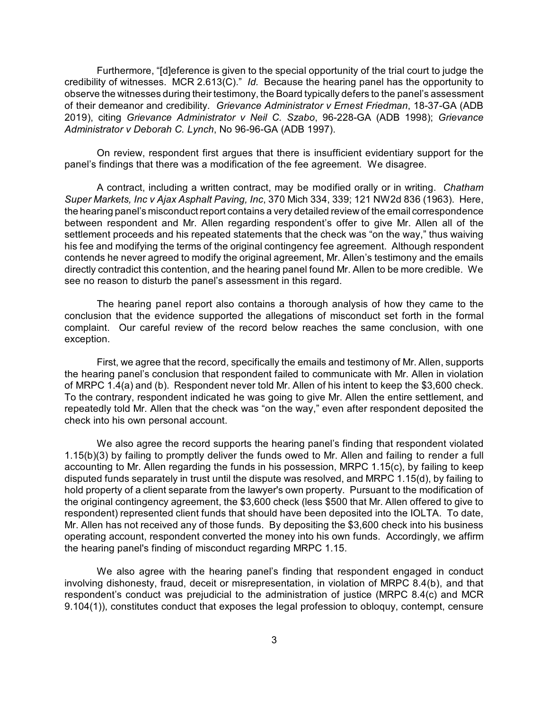Furthermore, "[d]eference is given to the special opportunity of the trial court to judge the credibility of witnesses. MCR 2.613(C)." *Id.* Because the hearing panel has the opportunity to observe the witnesses during their testimony, the Board typically defers to the panel's assessment of their demeanor and credibility. *Grievance Administrator v Ernest Friedman*, 18-37-GA (ADB 2019), citing *Grievance Administrator v Neil C. Szabo*, 96-228-GA (ADB 1998); *Grievance Administrator v Deborah C. Lynch*, No 96-96-GA (ADB 1997).

On review, respondent first argues that there is insufficient evidentiary support for the panel's findings that there was a modification of the fee agreement. We disagree.

A contract, including a written contract, may be modified orally or in writing. *Chatham Super Markets, Inc v Ajax Asphalt Paving, Inc*, 370 Mich 334, 339; 121 NW2d 836 (1963). Here, the hearing panel's misconduct report contains a very detailed review of the email correspondence between respondent and Mr. Allen regarding respondent's offer to give Mr. Allen all of the settlement proceeds and his repeated statements that the check was "on the way," thus waiving his fee and modifying the terms of the original contingency fee agreement. Although respondent contends he never agreed to modify the original agreement, Mr. Allen's testimony and the emails directly contradict this contention, and the hearing panel found Mr. Allen to be more credible. We see no reason to disturb the panel's assessment in this regard.

The hearing panel report also contains a thorough analysis of how they came to the conclusion that the evidence supported the allegations of misconduct set forth in the formal complaint. Our careful review of the record below reaches the same conclusion, with one exception.

First, we agree that the record, specifically the emails and testimony of Mr. Allen, supports the hearing panel's conclusion that respondent failed to communicate with Mr. Allen in violation of MRPC 1.4(a) and (b). Respondent never told Mr. Allen of his intent to keep the \$3,600 check. To the contrary, respondent indicated he was going to give Mr. Allen the entire settlement, and repeatedly told Mr. Allen that the check was "on the way," even after respondent deposited the check into his own personal account.

We also agree the record supports the hearing panel's finding that respondent violated 1.15(b)(3) by failing to promptly deliver the funds owed to Mr. Allen and failing to render a full accounting to Mr. Allen regarding the funds in his possession, MRPC 1.15(c), by failing to keep disputed funds separately in trust until the dispute was resolved, and MRPC 1.15(d), by failing to hold property of a client separate from the lawyer's own property. Pursuant to the modification of the original contingency agreement, the \$3,600 check (less \$500 that Mr. Allen offered to give to respondent) represented client funds that should have been deposited into the IOLTA. To date, Mr. Allen has not received any of those funds. By depositing the \$3,600 check into his business operating account, respondent converted the money into his own funds. Accordingly, we affirm the hearing panel's finding of misconduct regarding MRPC 1.15.

We also agree with the hearing panel's finding that respondent engaged in conduct involving dishonesty, fraud, deceit or misrepresentation, in violation of MRPC 8.4(b), and that respondent's conduct was prejudicial to the administration of justice (MRPC 8.4(c) and MCR 9.104(1)), constitutes conduct that exposes the legal profession to obloquy, contempt, censure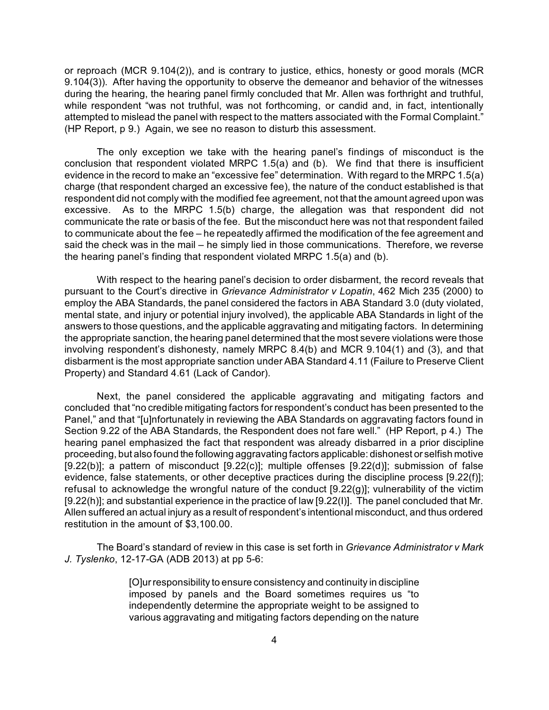or reproach (MCR 9.104(2)), and is contrary to justice, ethics, honesty or good morals (MCR 9.104(3)). After having the opportunity to observe the demeanor and behavior of the witnesses during the hearing, the hearing panel firmly concluded that Mr. Allen was forthright and truthful, while respondent "was not truthful, was not forthcoming, or candid and, in fact, intentionally attempted to mislead the panel with respect to the matters associated with the Formal Complaint." (HP Report, p 9.) Again, we see no reason to disturb this assessment.

The only exception we take with the hearing panel's findings of misconduct is the conclusion that respondent violated MRPC 1.5(a) and (b). We find that there is insufficient evidence in the record to make an "excessive fee" determination. With regard to the MRPC 1.5(a) charge (that respondent charged an excessive fee), the nature of the conduct established is that respondent did not comply with the modified fee agreement, not that the amount agreed upon was excessive. As to the MRPC 1.5(b) charge, the allegation was that respondent did not communicate the rate or basis of the fee. But the misconduct here was not that respondent failed to communicate about the fee – he repeatedly affirmed the modification of the fee agreement and said the check was in the mail – he simply lied in those communications. Therefore, we reverse the hearing panel's finding that respondent violated MRPC 1.5(a) and (b).

With respect to the hearing panel's decision to order disbarment, the record reveals that pursuant to the Court's directive in *Grievance Administrator v Lopatin*, 462 Mich 235 (2000) to employ the ABA Standards, the panel considered the factors in ABA Standard 3.0 (duty violated, mental state, and injury or potential injury involved), the applicable ABA Standards in light of the answers to those questions, and the applicable aggravating and mitigating factors. In determining the appropriate sanction, the hearing panel determined that the most severe violations were those involving respondent's dishonesty, namely MRPC 8.4(b) and MCR 9.104(1) and (3), and that disbarment is the most appropriate sanction under ABA Standard 4.11 (Failure to Preserve Client Property) and Standard 4.61 (Lack of Candor).

Next, the panel considered the applicable aggravating and mitigating factors and concluded that "no credible mitigating factors for respondent's conduct has been presented to the Panel," and that "[u]nfortunately in reviewing the ABA Standards on aggravating factors found in Section 9.22 of the ABA Standards, the Respondent does not fare well." (HP Report, p 4.) The hearing panel emphasized the fact that respondent was already disbarred in a prior discipline proceeding, but also found the following aggravating factors applicable: dishonest or selfish motive  $[9.22(b)]$ ; a pattern of misconduct  $[9.22(c)]$ ; multiple offenses  $[9.22(d)]$ ; submission of false evidence, false statements, or other deceptive practices during the discipline process [9.22(f)]; refusal to acknowledge the wrongful nature of the conduct [9.22(g)]; vulnerability of the victim [9.22(h)]; and substantial experience in the practice of law [9.22(I)]. The panel concluded that Mr. Allen suffered an actual injury as a result of respondent's intentional misconduct, and thus ordered restitution in the amount of \$3,100.00.

The Board's standard of review in this case is set forth in *Grievance Administrator v Mark J. Tyslenko*, 12-17-GA (ADB 2013) at pp 5-6:

> [O]urresponsibility to ensure consistency and continuity in discipline imposed by panels and the Board sometimes requires us "to independently determine the appropriate weight to be assigned to various aggravating and mitigating factors depending on the nature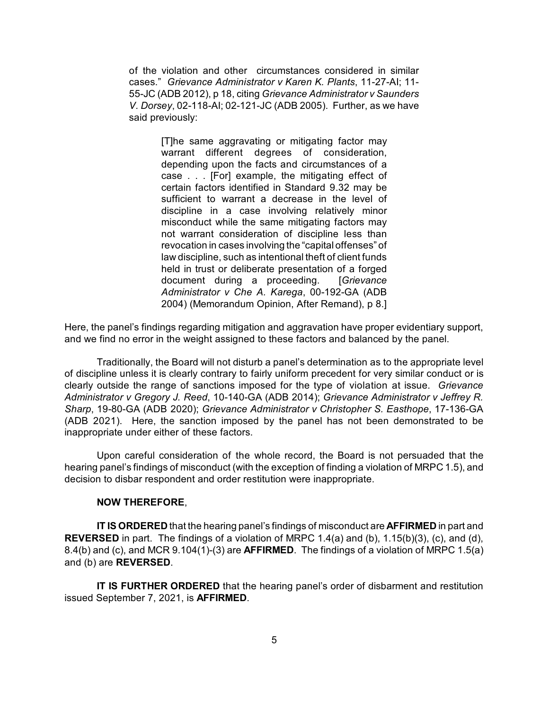of the violation and other circumstances considered in similar cases." *Grievance Administrator v Karen K. Plants*, 11-27-AI; 11- 55-JC (ADB 2012), p 18, citing *Grievance Administrator v Saunders V. Dorsey*, 02-118-AI; 02-121-JC (ADB 2005). Further, as we have said previously:

> [T]he same aggravating or mitigating factor may warrant different degrees of consideration, depending upon the facts and circumstances of a case . . . [For] example, the mitigating effect of certain factors identified in Standard 9.32 may be sufficient to warrant a decrease in the level of discipline in a case involving relatively minor misconduct while the same mitigating factors may not warrant consideration of discipline less than revocation in cases involving the "capital offenses" of law discipline, such as intentional theft of client funds held in trust or deliberate presentation of a forged document during a proceeding. [*Grievance Administrator v Che A. Karega*, 00-192-GA (ADB 2004) (Memorandum Opinion, After Remand), p 8.]

Here, the panel's findings regarding mitigation and aggravation have proper evidentiary support, and we find no error in the weight assigned to these factors and balanced by the panel.

Traditionally, the Board will not disturb a panel's determination as to the appropriate level of discipline unless it is clearly contrary to fairly uniform precedent for very similar conduct or is clearly outside the range of sanctions imposed for the type of violation at issue. *Grievance Administrator v Gregory J. Reed*, 10-140-GA (ADB 2014); *Grievance Administrator v Jeffrey R. Sharp*, 19-80-GA (ADB 2020); *Grievance Administrator v Christopher S. Easthope*, 17-136-GA (ADB 2021). Here, the sanction imposed by the panel has not been demonstrated to be inappropriate under either of these factors.

Upon careful consideration of the whole record, the Board is not persuaded that the hearing panel's findings of misconduct (with the exception of finding a violation of MRPC 1.5), and decision to disbar respondent and order restitution were inappropriate.

## **NOW THEREFORE**,

**IT IS ORDERED** that the hearing panel's findings of misconduct are **AFFIRMED** in part and **REVERSED** in part. The findings of a violation of MRPC 1.4(a) and (b), 1.15(b)(3), (c), and (d), 8.4(b) and (c), and MCR 9.104(1)-(3) are **AFFIRMED**. The findings of a violation of MRPC 1.5(a) and (b) are **REVERSED**.

**IT IS FURTHER ORDERED** that the hearing panel's order of disbarment and restitution issued September 7, 2021, is **AFFIRMED**.